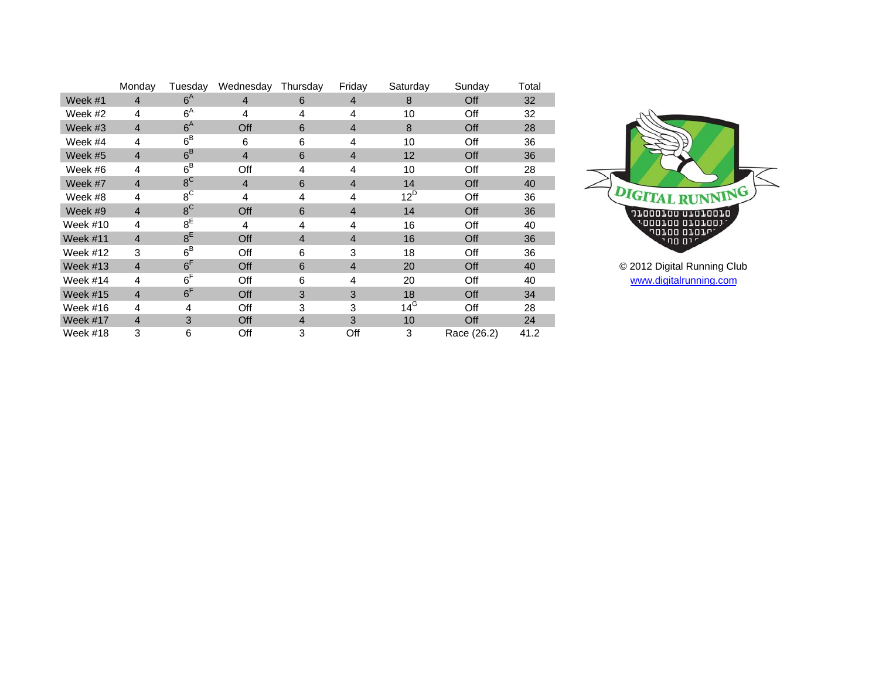|                 | Monday         | Tuesdav        | Wednesday      | Thursday       | Friday         | Saturday | Sunday      | Total |  |
|-----------------|----------------|----------------|----------------|----------------|----------------|----------|-------------|-------|--|
| Week #1         | $\overline{4}$ | $6^{\text{A}}$ | $\overline{4}$ | 6              | 4              | 8        | Off         | 32    |  |
| Week #2         | 4              | $6^{\text{A}}$ | 4              | 4              | 4              | 10       | Off         | 32    |  |
| Week #3         | $\overline{4}$ | 6 <sup>A</sup> | Off            | 6              | $\overline{4}$ | 8        | Off         | 28    |  |
| Week #4         | $\overline{4}$ | $6^B$          | 6              | 6              | 4              | 10       | Off         | 36    |  |
| Week #5         | $\overline{4}$ | $6^B$          | $\overline{4}$ | 6              | $\overline{4}$ | 12       | Off         | 36    |  |
| Week #6         | $\overline{4}$ | $6^B$          | Off            | 4              | 4              | 10       | Off         | 28    |  |
| Week #7         | $\overline{4}$ | 8 <sup>C</sup> | $\overline{4}$ | 6              | $\overline{4}$ | 14       | Off         | 40    |  |
| Week #8         | 4              | 8 <sup>C</sup> | 4              | 4              | 4              | $12^D$   | Off         | 36    |  |
| Week #9         | $\overline{4}$ | 8 <sup>C</sup> | Off            | 6              | $\overline{4}$ | 14       | Off         | 36    |  |
| Week #10        | $\overline{4}$ | 8 <sup>E</sup> | 4              | 4              | 4              | 16       | Off         | 40    |  |
| Week $#11$      | $\overline{4}$ | 8 <sup>E</sup> | Off            | $\overline{4}$ | $\overline{4}$ | 16       | Off         | 36    |  |
| <b>Week #12</b> | 3              | $6^B$          | Off            | 6              | 3              | 18       | Off         | 36    |  |
| Week $#13$      | $\overline{4}$ | 6 <sup>F</sup> | Off            | 6              | $\overline{4}$ | 20       | Off         | 40    |  |
| Week #14        | 4              | 6 <sup>F</sup> | Off            | 6              | 4              | 20       | Off         | 40    |  |
| Week $#15$      | $\overline{4}$ | 6 <sup>F</sup> | Off            | 3              | 3              | 18       | Off         | 34    |  |
| Week #16        | 4              | 4              | Off            | 3              | 3              | $14^G$   | Off         | 28    |  |
| Week #17        | $\overline{4}$ | 3              | Off            | $\overline{4}$ | 3              | 10       | Off         | 24    |  |
| Week #18        | 3              | 6              | Off            | 3              | Off            | 3        | Race (26.2) | 41.2  |  |



 $©$  2012 Digital Running Club [www.digitalrunning.com](http://www.digitalrunning.com/)